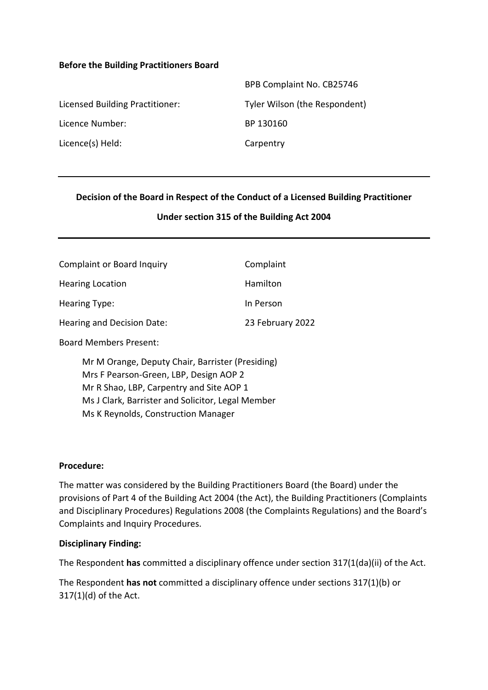#### **Before the Building Practitioners Board**

| BPB Complaint No. CB25746     |
|-------------------------------|
| Tyler Wilson (the Respondent) |
| BP 130160                     |
| Carpentry                     |
|                               |

### **Decision of the Board in Respect of the Conduct of a Licensed Building Practitioner**

#### **Under section 315 of the Building Act 2004**

| Complaint        |
|------------------|
| Hamilton         |
| In Person        |
| 23 February 2022 |
|                  |

Board Members Present:

Mr M Orange, Deputy Chair, Barrister (Presiding) Mrs F Pearson-Green, LBP, Design AOP 2 Mr R Shao, LBP, Carpentry and Site AOP 1 Ms J Clark, Barrister and Solicitor, Legal Member Ms K Reynolds, Construction Manager

### **Procedure:**

The matter was considered by the Building Practitioners Board (the Board) under the provisions of Part 4 of the Building Act 2004 (the Act), the Building Practitioners (Complaints and Disciplinary Procedures) Regulations 2008 (the Complaints Regulations) and the Board's Complaints and Inquiry Procedures.

### **Disciplinary Finding:**

The Respondent **has** committed a disciplinary offence under section 317(1(da)(ii) of the Act.

The Respondent **has not** committed a disciplinary offence under sections 317(1)(b) or 317(1)(d) of the Act.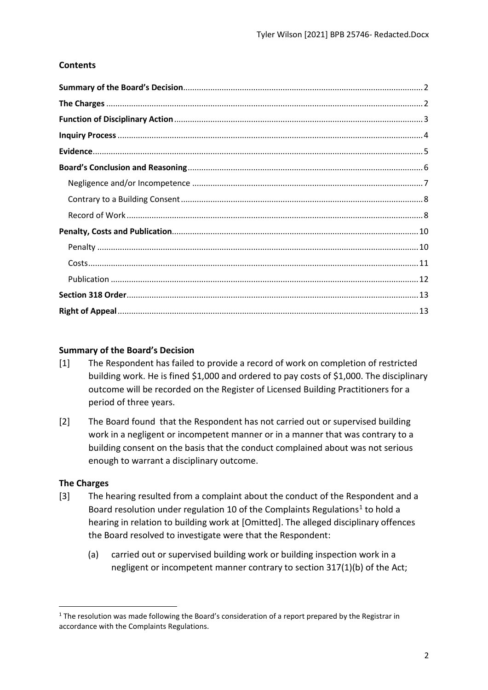# **Contents**

## <span id="page-1-0"></span>**Summary of the Board's Decision**

- [1] The Respondent has failed to provide a record of work on completion of restricted building work. He is fined \$1,000 and ordered to pay costs of \$1,000. The disciplinary outcome will be recorded on the Register of Licensed Building Practitioners for a period of three years.
- [2] The Board found that the Respondent has not carried out or supervised building work in a negligent or incompetent manner or in a manner that was contrary to a building consent on the basis that the conduct complained about was not serious enough to warrant a disciplinary outcome.

# <span id="page-1-1"></span>**The Charges**

- [3] The hearing resulted from a complaint about the conduct of the Respondent and a Board resolution under regulation 10 of the Complaints Regulations<sup>1</sup> to hold a hearing in relation to building work at [Omitted]. The alleged disciplinary offences the Board resolved to investigate were that the Respondent:
	- (a) carried out or supervised building work or building inspection work in a negligent or incompetent manner contrary to section 317(1)(b) of the Act;

<span id="page-1-2"></span><sup>&</sup>lt;sup>1</sup> The resolution was made following the Board's consideration of a report prepared by the Registrar in accordance with the Complaints Regulations.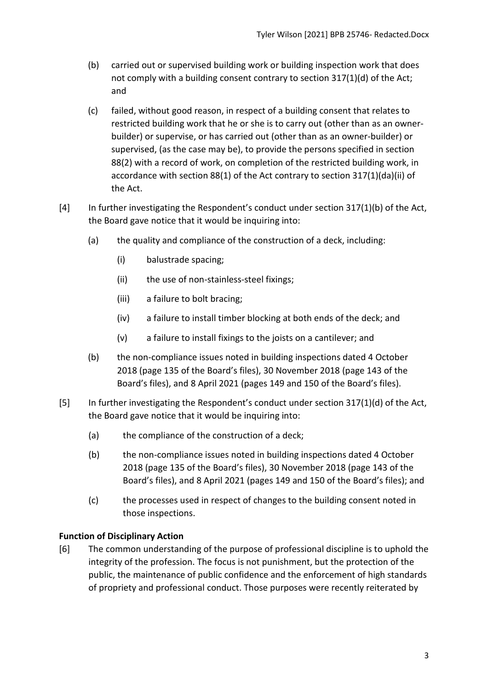- (b) carried out or supervised building work or building inspection work that does not comply with a building consent contrary to section 317(1)(d) of the Act; and
- (c) failed, without good reason, in respect of a building consent that relates to restricted building work that he or she is to carry out (other than as an ownerbuilder) or supervise, or has carried out (other than as an owner-builder) or supervised, (as the case may be), to provide the persons specified in section 88(2) with a record of work, on completion of the restricted building work, in accordance with section 88(1) of the Act contrary to section 317(1)(da)(ii) of the Act.
- [4] In further investigating the Respondent's conduct under section 317(1)(b) of the Act, the Board gave notice that it would be inquiring into:
	- (a) the quality and compliance of the construction of a deck, including:
		- (i) balustrade spacing;
		- (ii) the use of non-stainless-steel fixings;
		- (iii) a failure to bolt bracing;
		- (iv) a failure to install timber blocking at both ends of the deck; and
		- (v) a failure to install fixings to the joists on a cantilever; and
	- (b) the non-compliance issues noted in building inspections dated 4 October 2018 (page 135 of the Board's files), 30 November 2018 (page 143 of the Board's files), and 8 April 2021 (pages 149 and 150 of the Board's files).
- [5] In further investigating the Respondent's conduct under section 317(1)(d) of the Act, the Board gave notice that it would be inquiring into:
	- (a) the compliance of the construction of a deck;
	- (b) the non-compliance issues noted in building inspections dated 4 October 2018 (page 135 of the Board's files), 30 November 2018 (page 143 of the Board's files), and 8 April 2021 (pages 149 and 150 of the Board's files); and
	- (c) the processes used in respect of changes to the building consent noted in those inspections.

# <span id="page-2-0"></span>**Function of Disciplinary Action**

[6] The common understanding of the purpose of professional discipline is to uphold the integrity of the profession. The focus is not punishment, but the protection of the public, the maintenance of public confidence and the enforcement of high standards of propriety and professional conduct. Those purposes were recently reiterated by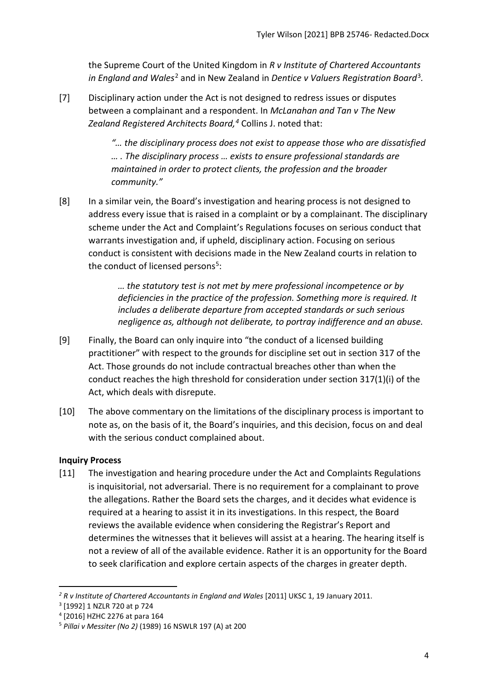the Supreme Court of the United Kingdom in *R v Institute of Chartered Accountants in England and Wales*[2](#page-3-1) and in New Zealand in *Dentice v Valuers Registration Board*[3](#page-3-2)*.*

[7] Disciplinary action under the Act is not designed to redress issues or disputes between a complainant and a respondent. In *McLanahan and Tan v The New Zealand Registered Architects Board, [4](#page-3-3)* Collins J. noted that:

> *"… the disciplinary process does not exist to appease those who are dissatisfied … . The disciplinary process … exists to ensure professional standards are maintained in order to protect clients, the profession and the broader community."*

[8] In a similar vein, the Board's investigation and hearing process is not designed to address every issue that is raised in a complaint or by a complainant. The disciplinary scheme under the Act and Complaint's Regulations focuses on serious conduct that warrants investigation and, if upheld, disciplinary action. Focusing on serious conduct is consistent with decisions made in the New Zealand courts in relation to the conduct of licensed persons<sup>[5](#page-3-4)</sup>:

> *… the statutory test is not met by mere professional incompetence or by deficiencies in the practice of the profession. Something more is required. It includes a deliberate departure from accepted standards or such serious negligence as, although not deliberate, to portray indifference and an abuse.*

- [9] Finally, the Board can only inquire into "the conduct of a licensed building practitioner" with respect to the grounds for discipline set out in section 317 of the Act. Those grounds do not include contractual breaches other than when the conduct reaches the high threshold for consideration under section 317(1)(i) of the Act, which deals with disrepute.
- [10] The above commentary on the limitations of the disciplinary process is important to note as, on the basis of it, the Board's inquiries, and this decision, focus on and deal with the serious conduct complained about.

# <span id="page-3-0"></span>**Inquiry Process**

[11] The investigation and hearing procedure under the Act and Complaints Regulations is inquisitorial, not adversarial. There is no requirement for a complainant to prove the allegations. Rather the Board sets the charges, and it decides what evidence is required at a hearing to assist it in its investigations. In this respect, the Board reviews the available evidence when considering the Registrar's Report and determines the witnesses that it believes will assist at a hearing. The hearing itself is not a review of all of the available evidence. Rather it is an opportunity for the Board to seek clarification and explore certain aspects of the charges in greater depth.

<span id="page-3-1"></span><sup>&</sup>lt;sup>2</sup> R v Institute of Chartered Accountants in England and Wales [2011] UKSC 1, 19 January 2011.

<span id="page-3-2"></span><sup>3</sup> [1992] 1 NZLR 720 at p 724

<span id="page-3-3"></span><sup>4</sup> [2016] HZHC 2276 at para 164

<span id="page-3-4"></span><sup>5</sup> *Pillai v Messiter (No 2)* (1989) 16 NSWLR 197 (A) at 200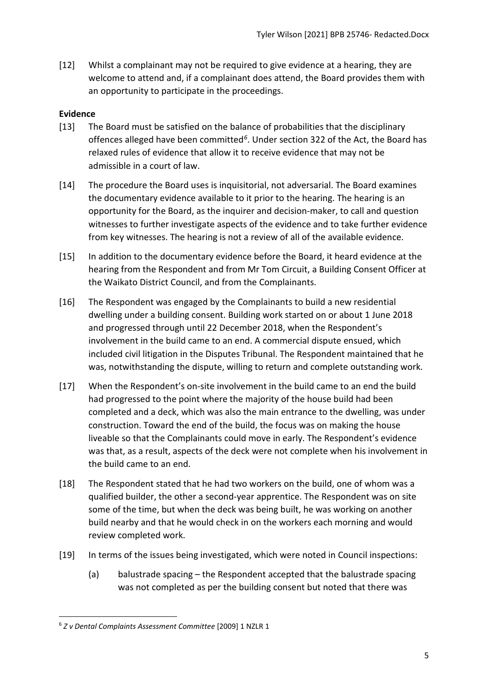[12] Whilst a complainant may not be required to give evidence at a hearing, they are welcome to attend and, if a complainant does attend, the Board provides them with an opportunity to participate in the proceedings.

# <span id="page-4-0"></span>**Evidence**

- [13] The Board must be satisfied on the balance of probabilities that the disciplinary offences alleged have been committed*[6](#page-4-1)*. Under section 322 of the Act, the Board has relaxed rules of evidence that allow it to receive evidence that may not be admissible in a court of law.
- [14] The procedure the Board uses is inquisitorial, not adversarial. The Board examines the documentary evidence available to it prior to the hearing. The hearing is an opportunity for the Board, as the inquirer and decision-maker, to call and question witnesses to further investigate aspects of the evidence and to take further evidence from key witnesses. The hearing is not a review of all of the available evidence.
- [15] In addition to the documentary evidence before the Board, it heard evidence at the hearing from the Respondent and from Mr Tom Circuit, a Building Consent Officer at the Waikato District Council, and from the Complainants.
- [16] The Respondent was engaged by the Complainants to build a new residential dwelling under a building consent. Building work started on or about 1 June 2018 and progressed through until 22 December 2018, when the Respondent's involvement in the build came to an end. A commercial dispute ensued, which included civil litigation in the Disputes Tribunal. The Respondent maintained that he was, notwithstanding the dispute, willing to return and complete outstanding work.
- [17] When the Respondent's on-site involvement in the build came to an end the build had progressed to the point where the majority of the house build had been completed and a deck, which was also the main entrance to the dwelling, was under construction. Toward the end of the build, the focus was on making the house liveable so that the Complainants could move in early. The Respondent's evidence was that, as a result, aspects of the deck were not complete when his involvement in the build came to an end.
- [18] The Respondent stated that he had two workers on the build, one of whom was a qualified builder, the other a second-year apprentice. The Respondent was on site some of the time, but when the deck was being built, he was working on another build nearby and that he would check in on the workers each morning and would review completed work.
- [19] In terms of the issues being investigated, which were noted in Council inspections:
	- (a) balustrade spacing the Respondent accepted that the balustrade spacing was not completed as per the building consent but noted that there was

<span id="page-4-1"></span><sup>6</sup> *Z v Dental Complaints Assessment Committee* [2009] 1 NZLR 1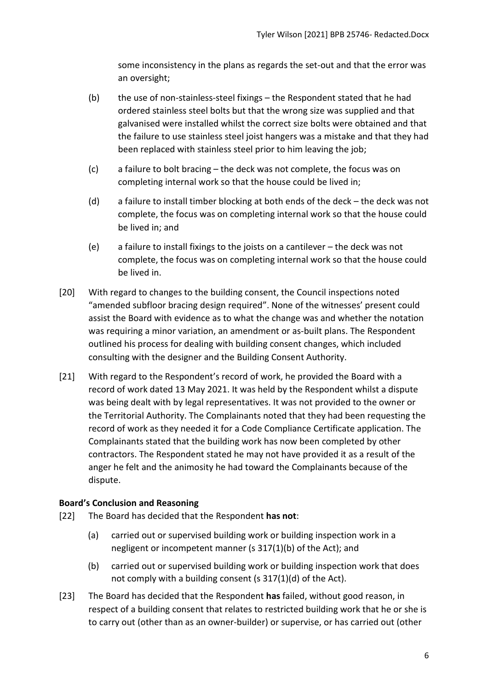some inconsistency in the plans as regards the set-out and that the error was an oversight;

- (b) the use of non-stainless-steel fixings the Respondent stated that he had ordered stainless steel bolts but that the wrong size was supplied and that galvanised were installed whilst the correct size bolts were obtained and that the failure to use stainless steel joist hangers was a mistake and that they had been replaced with stainless steel prior to him leaving the job;
- (c) a failure to bolt bracing the deck was not complete, the focus was on completing internal work so that the house could be lived in;
- (d) a failure to install timber blocking at both ends of the deck the deck was not complete, the focus was on completing internal work so that the house could be lived in; and
- (e) a failure to install fixings to the joists on a cantilever the deck was not complete, the focus was on completing internal work so that the house could be lived in.
- [20] With regard to changes to the building consent, the Council inspections noted "amended subfloor bracing design required". None of the witnesses' present could assist the Board with evidence as to what the change was and whether the notation was requiring a minor variation, an amendment or as-built plans. The Respondent outlined his process for dealing with building consent changes, which included consulting with the designer and the Building Consent Authority.
- [21] With regard to the Respondent's record of work, he provided the Board with a record of work dated 13 May 2021. It was held by the Respondent whilst a dispute was being dealt with by legal representatives. It was not provided to the owner or the Territorial Authority. The Complainants noted that they had been requesting the record of work as they needed it for a Code Compliance Certificate application. The Complainants stated that the building work has now been completed by other contractors. The Respondent stated he may not have provided it as a result of the anger he felt and the animosity he had toward the Complainants because of the dispute.

# <span id="page-5-0"></span>**Board's Conclusion and Reasoning**

- [22] The Board has decided that the Respondent **has not**:
	- (a) carried out or supervised building work or building inspection work in a negligent or incompetent manner (s 317(1)(b) of the Act); and
	- (b) carried out or supervised building work or building inspection work that does not comply with a building consent (s 317(1)(d) of the Act).
- [23] The Board has decided that the Respondent **has** failed, without good reason, in respect of a building consent that relates to restricted building work that he or she is to carry out (other than as an owner-builder) or supervise, or has carried out (other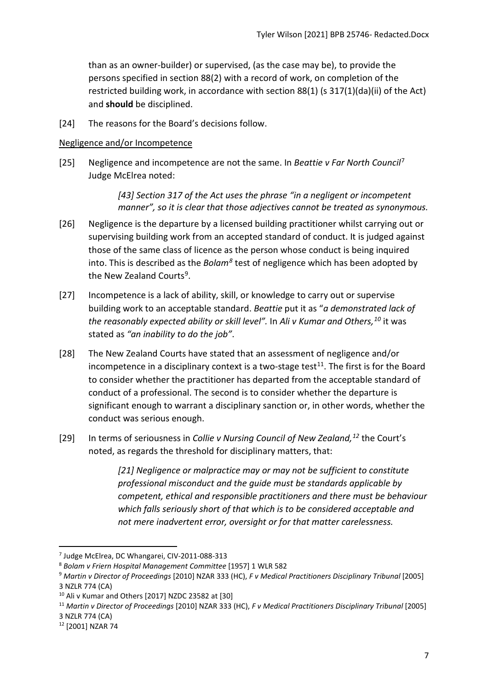than as an owner-builder) or supervised, (as the case may be), to provide the persons specified in section 88(2) with a record of work, on completion of the restricted building work, in accordance with section 88(1) (s 317(1)(da)(ii) of the Act) and **should** be disciplined.

[24] The reasons for the Board's decisions follow.

# <span id="page-6-0"></span>Negligence and/or Incompetence

[25] Negligence and incompetence are not the same. In *Beattie v Far North Council*[7](#page-6-1) Judge McElrea noted:

> *[43] Section 317 of the Act uses the phrase "in a negligent or incompetent manner", so it is clear that those adjectives cannot be treated as synonymous.*

- [26] Negligence is the departure by a licensed building practitioner whilst carrying out or supervising building work from an accepted standard of conduct. It is judged against those of the same class of licence as the person whose conduct is being inquired into. This is described as the *Bolam[8](#page-6-2)* test of negligence which has been adopted by the New Zealand Courts<sup>9</sup>.
- [27] Incompetence is a lack of ability, skill, or knowledge to carry out or supervise building work to an acceptable standard. *Beattie* put it as "*a demonstrated lack of the reasonably expected ability or skill level".* In *Ali v Kumar and Others, [10](#page-6-4)* it was stated as *"an inability to do the job"*.
- [28] The New Zealand Courts have stated that an assessment of negligence and/or incompetence in a disciplinary context is a two-stage test<sup>[11](#page-6-5)</sup>. The first is for the Board to consider whether the practitioner has departed from the acceptable standard of conduct of a professional. The second is to consider whether the departure is significant enough to warrant a disciplinary sanction or, in other words, whether the conduct was serious enough.
- [29] In terms of seriousness in *Collie v Nursing Council of New Zealand, [12](#page-6-6)* the Court's noted, as regards the threshold for disciplinary matters, that:

*[21] Negligence or malpractice may or may not be sufficient to constitute professional misconduct and the guide must be standards applicable by competent, ethical and responsible practitioners and there must be behaviour which falls seriously short of that which is to be considered acceptable and not mere inadvertent error, oversight or for that matter carelessness.*

<span id="page-6-1"></span><sup>7</sup> Judge McElrea, DC Whangarei, CIV-2011-088-313

<span id="page-6-2"></span><sup>8</sup> *Bolam v Friern Hospital Management Committee* [1957] 1 WLR 582

<span id="page-6-3"></span><sup>9</sup> *Martin v Director of Proceedings* [2010] NZAR 333 (HC), *F v Medical Practitioners Disciplinary Tribunal* [2005] 3 NZLR 774 (CA)

<span id="page-6-4"></span><sup>10</sup> Ali v Kumar and Others [2017] NZDC 23582 at [30]

<span id="page-6-5"></span><sup>11</sup> *Martin v Director of Proceedings* [2010] NZAR 333 (HC), *F v Medical Practitioners Disciplinary Tribunal* [2005]

<sup>3</sup> NZLR 774 (CA)

<span id="page-6-6"></span><sup>12</sup> [2001] NZAR 74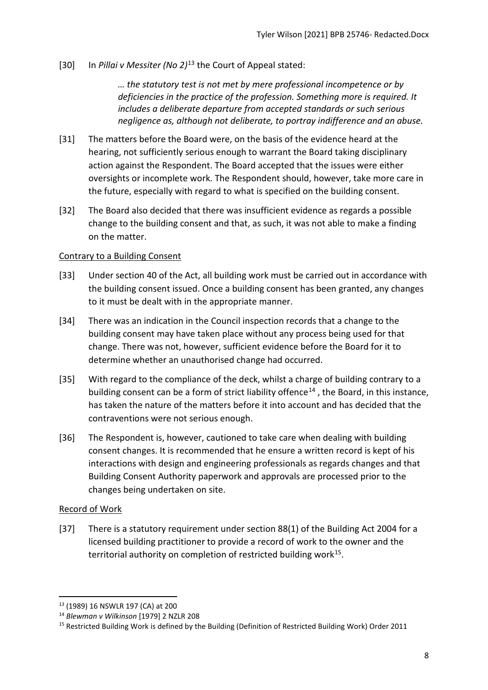## [30] In *Pillai v Messiter (No 2)*[13](#page-7-2) the Court of Appeal stated:

*… the statutory test is not met by mere professional incompetence or by deficiencies in the practice of the profession. Something more is required. It includes a deliberate departure from accepted standards or such serious negligence as, although not deliberate, to portray indifference and an abuse.*

- [31] The matters before the Board were, on the basis of the evidence heard at the hearing, not sufficiently serious enough to warrant the Board taking disciplinary action against the Respondent. The Board accepted that the issues were either oversights or incomplete work. The Respondent should, however, take more care in the future, especially with regard to what is specified on the building consent.
- [32] The Board also decided that there was insufficient evidence as regards a possible change to the building consent and that, as such, it was not able to make a finding on the matter.

## <span id="page-7-0"></span>Contrary to a Building Consent

- [33] Under section 40 of the Act, all building work must be carried out in accordance with the building consent issued. Once a building consent has been granted, any changes to it must be dealt with in the appropriate manner.
- [34] There was an indication in the Council inspection records that a change to the building consent may have taken place without any process being used for that change. There was not, however, sufficient evidence before the Board for it to determine whether an unauthorised change had occurred.
- [35] With regard to the compliance of the deck, whilst a charge of building contrary to a building consent can be a form of strict liability offence<sup>[14](#page-7-3)</sup>, the Board, in this instance, has taken the nature of the matters before it into account and has decided that the contraventions were not serious enough.
- [36] The Respondent is, however, cautioned to take care when dealing with building consent changes. It is recommended that he ensure a written record is kept of his interactions with design and engineering professionals as regards changes and that Building Consent Authority paperwork and approvals are processed prior to the changes being undertaken on site.

### <span id="page-7-1"></span>Record of Work

[37] There is a statutory requirement under section 88(1) of the Building Act 2004 for a licensed building practitioner to provide a record of work to the owner and the territorial authority on completion of restricted building work<sup>15</sup>.

<span id="page-7-2"></span><sup>13</sup> (1989) 16 NSWLR 197 (CA) at 200

<span id="page-7-3"></span><sup>14</sup> *Blewman v Wilkinson* [\[1979\] 2 NZLR 208](http://www.lexisnexis.com/nz/legal/search/enhRunRemoteLink.do?A=0.2086159965275617&service=citation&langcountry=AU&backKey=20_T27461068952&linkInfo=F%23NZ%23NZLR%23vol%252%25sel1%251979%25page%25208%25year%251979%25sel2%252%25&ersKey=23_T27461068929)

<span id="page-7-4"></span><sup>15</sup> Restricted Building Work is defined by the Building (Definition of Restricted Building Work) Order 2011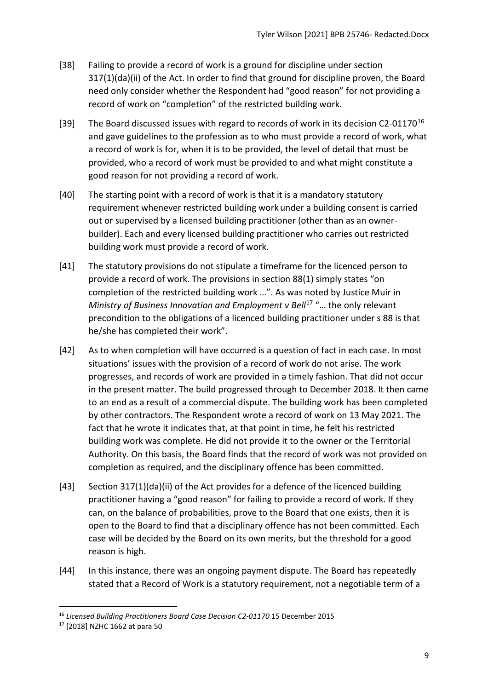- [38] Failing to provide a record of work is a ground for discipline under section 317(1)(da)(ii) of the Act. In order to find that ground for discipline proven, the Board need only consider whether the Respondent had "good reason" for not providing a record of work on "completion" of the restricted building work.
- [39] The Board discussed issues with regard to records of work in its decision C2-01170<sup>[16](#page-8-0)</sup> and gave guidelines to the profession as to who must provide a record of work, what a record of work is for, when it is to be provided, the level of detail that must be provided, who a record of work must be provided to and what might constitute a good reason for not providing a record of work.
- [40] The starting point with a record of work is that it is a mandatory statutory requirement whenever restricted building work under a building consent is carried out or supervised by a licensed building practitioner (other than as an ownerbuilder). Each and every licensed building practitioner who carries out restricted building work must provide a record of work.
- [41] The statutory provisions do not stipulate a timeframe for the licenced person to provide a record of work. The provisions in section 88(1) simply states "on completion of the restricted building work …". As was noted by Justice Muir in *Ministry of Business Innovation and Employment v Bell<sup>[17](#page-8-1)</sup> "... the only relevant* precondition to the obligations of a licenced building practitioner under s 88 is that he/she has completed their work".
- [42] As to when completion will have occurred is a question of fact in each case. In most situations' issues with the provision of a record of work do not arise. The work progresses, and records of work are provided in a timely fashion. That did not occur in the present matter. The build progressed through to December 2018. It then came to an end as a result of a commercial dispute. The building work has been completed by other contractors. The Respondent wrote a record of work on 13 May 2021. The fact that he wrote it indicates that, at that point in time, he felt his restricted building work was complete. He did not provide it to the owner or the Territorial Authority. On this basis, the Board finds that the record of work was not provided on completion as required, and the disciplinary offence has been committed.
- [43] Section 317(1)(da)(ii) of the Act provides for a defence of the licenced building practitioner having a "good reason" for failing to provide a record of work. If they can, on the balance of probabilities, prove to the Board that one exists, then it is open to the Board to find that a disciplinary offence has not been committed. Each case will be decided by the Board on its own merits, but the threshold for a good reason is high.
- [44] In this instance, there was an ongoing payment dispute. The Board has repeatedly stated that a Record of Work is a statutory requirement, not a negotiable term of a

<span id="page-8-0"></span><sup>&</sup>lt;sup>16</sup> Licensed Building Practitioners Board Case Decision C2-01170 15 December 2015

<span id="page-8-1"></span><sup>17</sup> [2018] NZHC 1662 at para 50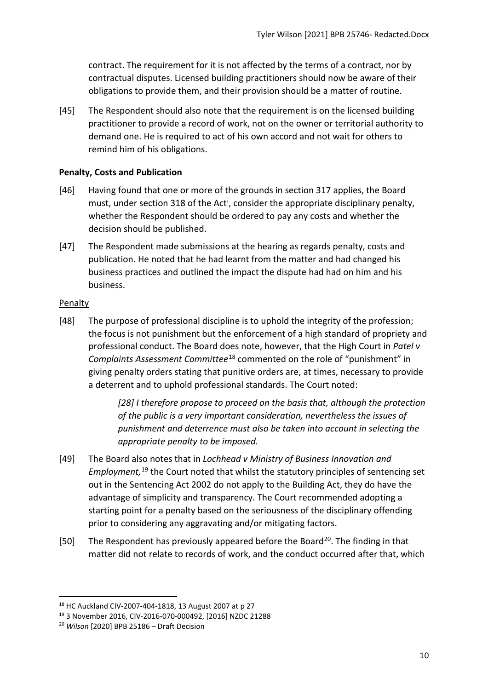contract. The requirement for it is not affected by the terms of a contract, nor by contractual disputes. Licensed building practitioners should now be aware of their obligations to provide them, and their provision should be a matter of routine.

[45] The Respondent should also note that the requirement is on the licensed building practitioner to provide a record of work, not on the owner or territorial authority to demand one. He is required to act of his own accord and not wait for others to remind him of his obligations.

## <span id="page-9-0"></span>**Penalty, Costs and Publication**

- [46] Having found that one or more of the grounds in section 317 applies, the Board must, under sect[i](#page-12-2)on 318 of the Act<sup>i</sup>, consider the appropriate disciplinary penalty, whether the Respondent should be ordered to pay any costs and whether the decision should be published.
- [47] The Respondent made submissions at the hearing as regards penalty, costs and publication. He noted that he had learnt from the matter and had changed his business practices and outlined the impact the dispute had had on him and his business.

### <span id="page-9-1"></span>Penalty

[48] The purpose of professional discipline is to uphold the integrity of the profession; the focus is not punishment but the enforcement of a high standard of propriety and professional conduct. The Board does note, however, that the High Court in *Patel v Complaints Assessment Committee*[18](#page-9-2) commented on the role of "punishment" in giving penalty orders stating that punitive orders are, at times, necessary to provide a deterrent and to uphold professional standards. The Court noted:

> *[28] I therefore propose to proceed on the basis that, although the protection of the public is a very important consideration, nevertheless the issues of punishment and deterrence must also be taken into account in selecting the appropriate penalty to be imposed.*

- [49] The Board also notes that in *Lochhead v Ministry of Business Innovation and Employment,* [19](#page-9-3) the Court noted that whilst the statutory principles of sentencing set out in the Sentencing Act 2002 do not apply to the Building Act, they do have the advantage of simplicity and transparency. The Court recommended adopting a starting point for a penalty based on the seriousness of the disciplinary offending prior to considering any aggravating and/or mitigating factors.
- [50] The Respondent has previously appeared before the Board<sup>20</sup>. The finding in that matter did not relate to records of work, and the conduct occurred after that, which

<span id="page-9-2"></span><sup>18</sup> HC Auckland CIV-2007-404-1818, 13 August 2007 at p 27

<span id="page-9-3"></span><sup>19</sup> 3 November 2016, CIV-2016-070-000492, [2016] NZDC 21288

<span id="page-9-4"></span><sup>20</sup> *Wilson* [2020] BPB 25186 – Draft Decision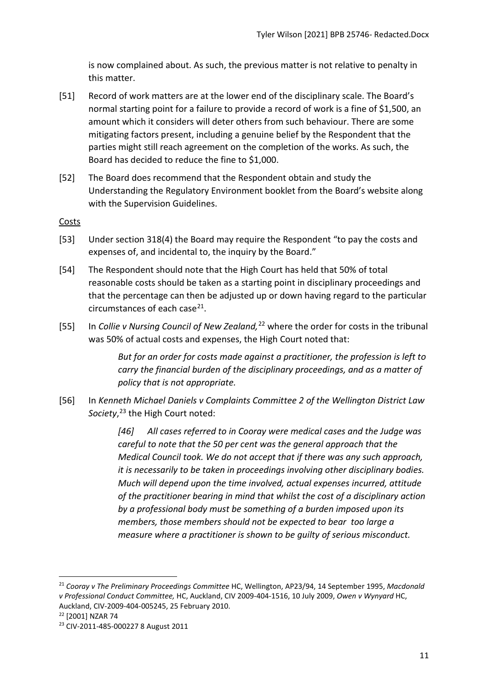is now complained about. As such, the previous matter is not relative to penalty in this matter.

- [51] Record of work matters are at the lower end of the disciplinary scale. The Board's normal starting point for a failure to provide a record of work is a fine of \$1,500, an amount which it considers will deter others from such behaviour. There are some mitigating factors present, including a genuine belief by the Respondent that the parties might still reach agreement on the completion of the works. As such, the Board has decided to reduce the fine to \$1,000.
- [52] The Board does recommend that the Respondent obtain and study the Understanding the Regulatory Environment booklet from the Board's website along with the Supervision Guidelines.

### <span id="page-10-0"></span>Costs

- [53] Under section 318(4) the Board may require the Respondent "to pay the costs and expenses of, and incidental to, the inquiry by the Board."
- [54] The Respondent should note that the High Court has held that 50% of total reasonable costs should be taken as a starting point in disciplinary proceedings and that the percentage can then be adjusted up or down having regard to the particular circumstances of each case $^{21}$ .
- [55] In *Collie v Nursing Council of New Zealand,*[22](#page-10-2) where the order for costs in the tribunal was 50% of actual costs and expenses, the High Court noted that:

*But for an order for costs made against a practitioner, the profession is left to carry the financial burden of the disciplinary proceedings, and as a matter of policy that is not appropriate.*

[56] In *Kenneth Michael Daniels v Complaints Committee 2 of the Wellington District Law Society*, [23](#page-10-3) the High Court noted:

> *[46] All cases referred to in Cooray were medical cases and the Judge was careful to note that the 50 per cent was the general approach that the Medical Council took. We do not accept that if there was any such approach, it is necessarily to be taken in proceedings involving other disciplinary bodies. Much will depend upon the time involved, actual expenses incurred, attitude of the practitioner bearing in mind that whilst the cost of a disciplinary action by a professional body must be something of a burden imposed upon its members, those members should not be expected to bear too large a measure where a practitioner is shown to be guilty of serious misconduct.*

<span id="page-10-1"></span><sup>21</sup> *Cooray v The Preliminary Proceedings Committee* HC, Wellington, AP23/94, 14 September 1995, *Macdonald v Professional Conduct Committee,* HC, Auckland, CIV 2009-404-1516, 10 July 2009, *Owen v Wynyard* HC, Auckland, CIV-2009-404-005245, 25 February 2010.<br><sup>22</sup> [2001] NZAR 74

<span id="page-10-2"></span>

<span id="page-10-3"></span><sup>23</sup> CIV-2011-485-000227 8 August 2011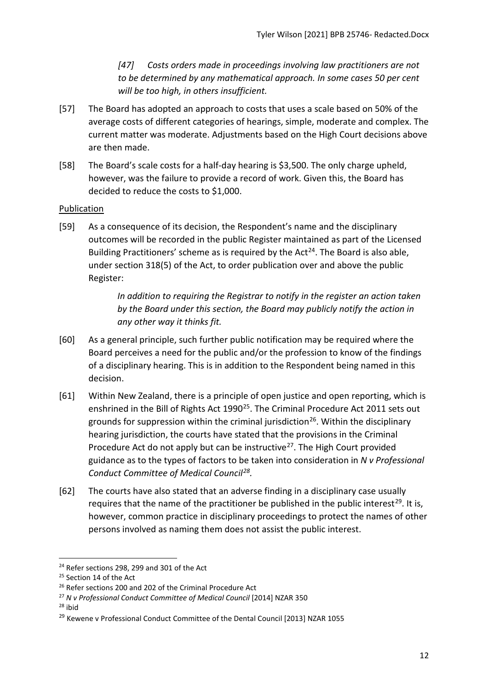*[47] Costs orders made in proceedings involving law practitioners are not to be determined by any mathematical approach. In some cases 50 per cent will be too high, in others insufficient.*

- [57] The Board has adopted an approach to costs that uses a scale based on 50% of the average costs of different categories of hearings, simple, moderate and complex. The current matter was moderate. Adjustments based on the High Court decisions above are then made.
- [58] The Board's scale costs for a half-day hearing is \$3,500. The only charge upheld, however, was the failure to provide a record of work. Given this, the Board has decided to reduce the costs to \$1,000.

# <span id="page-11-0"></span>Publication

[59] As a consequence of its decision, the Respondent's name and the disciplinary outcomes will be recorded in the public Register maintained as part of the Licensed Building Practitioners' scheme as is required by the  $Act^{24}$  $Act^{24}$  $Act^{24}$ . The Board is also able, under section 318(5) of the Act, to order publication over and above the public Register:

> *In addition to requiring the Registrar to notify in the register an action taken by the Board under this section, the Board may publicly notify the action in any other way it thinks fit.*

- [60] As a general principle, such further public notification may be required where the Board perceives a need for the public and/or the profession to know of the findings of a disciplinary hearing. This is in addition to the Respondent being named in this decision.
- [61] Within New Zealand, there is a principle of open justice and open reporting, which is enshrined in the Bill of Rights Act 1990<sup>25</sup>. The Criminal Procedure Act 2011 sets out grounds for suppression within the criminal jurisdiction<sup>26</sup>. Within the disciplinary hearing jurisdiction, the courts have stated that the provisions in the Criminal Procedure Act do not apply but can be instructive<sup>[27](#page-11-4)</sup>. The High Court provided guidance as to the types of factors to be taken into consideration in *N v Professional Conduct Committee of Medical Council[28](#page-11-5).*
- [62] The courts have also stated that an adverse finding in a disciplinary case usually requires that the name of the practitioner be published in the public interest<sup>[29](#page-11-6)</sup>. It is, however, common practice in disciplinary proceedings to protect the names of other persons involved as naming them does not assist the public interest.

<span id="page-11-1"></span> $24$  Refer sections 298, 299 and 301 of the Act

<span id="page-11-2"></span><sup>&</sup>lt;sup>25</sup> Section 14 of the Act

<span id="page-11-3"></span><sup>&</sup>lt;sup>26</sup> Refer sections 200 and 202 of the Criminal Procedure Act

<span id="page-11-4"></span><sup>27</sup> *N v Professional Conduct Committee of Medical Council* [2014] NZAR 350

<span id="page-11-5"></span> $28$  ibid

<span id="page-11-6"></span><sup>&</sup>lt;sup>29</sup> Kewene v Professional Conduct Committee of the Dental Council [2013] NZAR 1055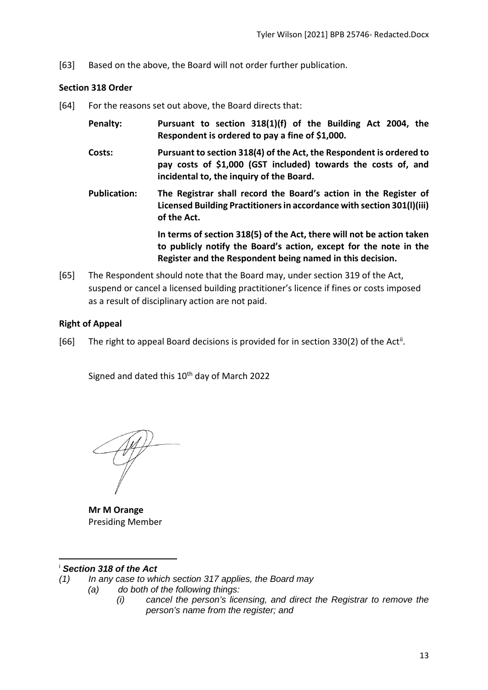[63] Based on the above, the Board will not order further publication.

## <span id="page-12-0"></span>**Section 318 Order**

- [64] For the reasons set out above, the Board directs that:
	- **Penalty: Pursuant to section 318(1)(f) of the Building Act 2004, the Respondent is ordered to pay a fine of \$1,000.**
	- **Costs: Pursuant to section 318(4) of the Act, the Respondent is ordered to pay costs of \$1,000 (GST included) towards the costs of, and incidental to, the inquiry of the Board.**
	- **Publication: The Registrar shall record the Board's action in the Register of Licensed Building Practitioners in accordance with section 301(l)(iii) of the Act.**

**In terms of section 318(5) of the Act, there will not be action taken to publicly notify the Board's action, except for the note in the Register and the Respondent being named in this decision.**

[65] The Respondent should note that the Board may, under section 319 of the Act, suspend or cancel a licensed building practitioner's licence if fines or costs imposed as a result of disciplinary action are not paid.

# <span id="page-12-1"></span>**Right of Appeal**

[66] The right to appeal Board decisions is provided for in section 330(2) of the Act<sup>[ii](#page-13-0)</sup>.

Signed and dated this 10<sup>th</sup> day of March 2022

**Mr M Orange**  Presiding Member

# <span id="page-12-2"></span><sup>i</sup> *Section 318 of the Act*

- *(1) In any case to which section 317 applies, the Board may*
	- *(a) do both of the following things:*
		- *(i) cancel the person's licensing, and direct the Registrar to remove the person's name from the register; and*